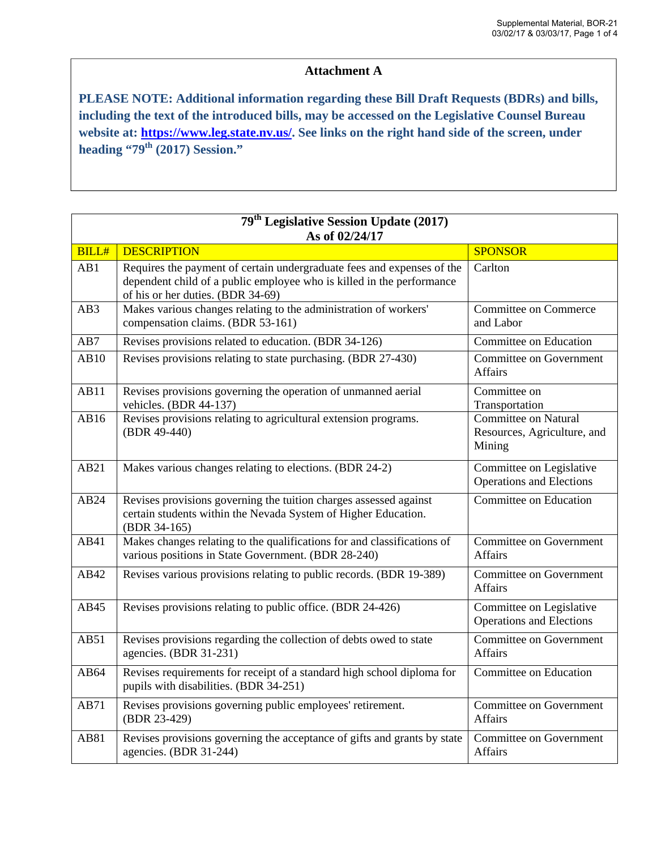## **Attachment A**

**PLEASE NOTE: Additional information regarding these Bill Draft Requests (BDRs) and bills, including the text of the introduced bills, may be accessed on the Legislative Counsel Bureau website at: https://www.leg.state.nv.us/. See links on the right hand side of the screen, under**  heading "79<sup>th</sup> (2017) Session."

| 79 <sup>th</sup> Legislative Session Update (2017) |                                                                                                                                                                                      |                                                                      |  |  |
|----------------------------------------------------|--------------------------------------------------------------------------------------------------------------------------------------------------------------------------------------|----------------------------------------------------------------------|--|--|
| As of 02/24/17                                     |                                                                                                                                                                                      |                                                                      |  |  |
| <b>BILL#</b>                                       | <b>DESCRIPTION</b>                                                                                                                                                                   | <b>SPONSOR</b>                                                       |  |  |
| AB1                                                | Requires the payment of certain undergraduate fees and expenses of the<br>dependent child of a public employee who is killed in the performance<br>of his or her duties. (BDR 34-69) | Carlton                                                              |  |  |
| AB3                                                | Makes various changes relating to the administration of workers'<br>compensation claims. (BDR 53-161)                                                                                | <b>Committee on Commerce</b><br>and Labor                            |  |  |
| AB7                                                | Revises provisions related to education. (BDR 34-126)                                                                                                                                | Committee on Education                                               |  |  |
| AB10                                               | Revises provisions relating to state purchasing. (BDR 27-430)                                                                                                                        | <b>Committee on Government</b><br>Affairs                            |  |  |
| AB11                                               | Revises provisions governing the operation of unmanned aerial<br>vehicles. (BDR 44-137)                                                                                              | Committee on<br>Transportation                                       |  |  |
| AB16                                               | Revises provisions relating to agricultural extension programs.<br>(BDR 49-440)                                                                                                      | <b>Committee on Natural</b><br>Resources, Agriculture, and<br>Mining |  |  |
| AB21                                               | Makes various changes relating to elections. (BDR 24-2)                                                                                                                              | Committee on Legislative<br><b>Operations and Elections</b>          |  |  |
| AB24                                               | Revises provisions governing the tuition charges assessed against<br>certain students within the Nevada System of Higher Education.<br>(BDR 34-165)                                  | Committee on Education                                               |  |  |
| AB41                                               | Makes changes relating to the qualifications for and classifications of<br>various positions in State Government. (BDR 28-240)                                                       | <b>Committee on Government</b><br>Affairs                            |  |  |
| AB42                                               | Revises various provisions relating to public records. (BDR 19-389)                                                                                                                  | <b>Committee on Government</b><br><b>Affairs</b>                     |  |  |
| AB45                                               | Revises provisions relating to public office. (BDR 24-426)                                                                                                                           | Committee on Legislative<br><b>Operations and Elections</b>          |  |  |
| AB51                                               | Revises provisions regarding the collection of debts owed to state<br>agencies. (BDR 31-231)                                                                                         | <b>Committee on Government</b><br><b>Affairs</b>                     |  |  |
| AB64                                               | Revises requirements for receipt of a standard high school diploma for<br>pupils with disabilities. (BDR 34-251)                                                                     | Committee on Education                                               |  |  |
| AB71                                               | Revises provisions governing public employees' retirement.<br>(BDR 23-429)                                                                                                           | <b>Committee on Government</b><br><b>Affairs</b>                     |  |  |
| AB81                                               | Revises provisions governing the acceptance of gifts and grants by state<br>agencies. (BDR 31-244)                                                                                   | Committee on Government<br><b>Affairs</b>                            |  |  |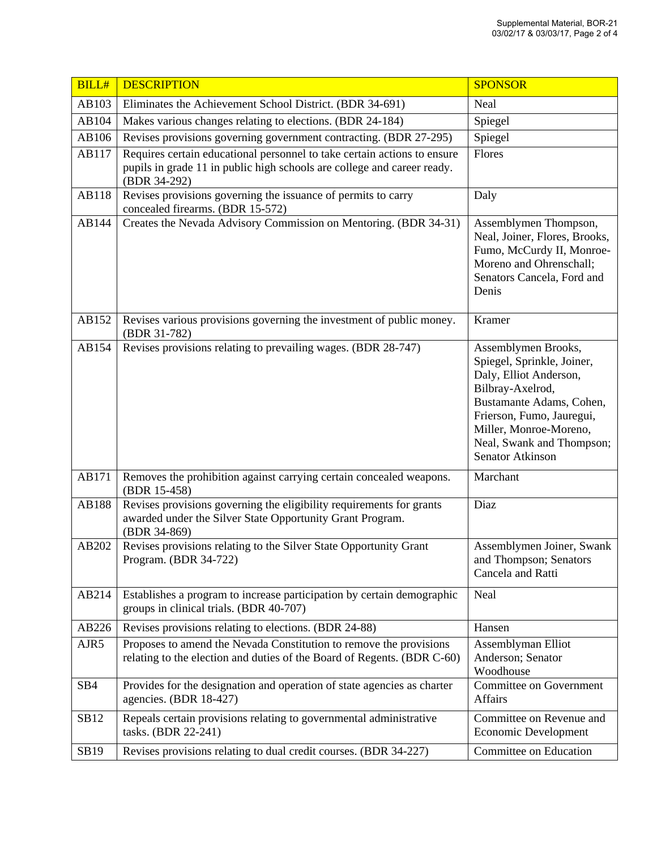| <b>BILL#</b>    | <b>DESCRIPTION</b>                                                                                                                                                  | <b>SPONSOR</b>                                                                                                                                                                                                                      |
|-----------------|---------------------------------------------------------------------------------------------------------------------------------------------------------------------|-------------------------------------------------------------------------------------------------------------------------------------------------------------------------------------------------------------------------------------|
| AB103           | Eliminates the Achievement School District. (BDR 34-691)                                                                                                            | Neal                                                                                                                                                                                                                                |
| AB104           | Makes various changes relating to elections. (BDR 24-184)                                                                                                           | Spiegel                                                                                                                                                                                                                             |
| AB106           | Revises provisions governing government contracting. (BDR 27-295)                                                                                                   | Spiegel                                                                                                                                                                                                                             |
| AB117           | Requires certain educational personnel to take certain actions to ensure<br>pupils in grade 11 in public high schools are college and career ready.<br>(BDR 34-292) | Flores                                                                                                                                                                                                                              |
| AB118           | Revises provisions governing the issuance of permits to carry<br>concealed firearms. (BDR 15-572)                                                                   | Daly                                                                                                                                                                                                                                |
| AB144           | Creates the Nevada Advisory Commission on Mentoring. (BDR 34-31)                                                                                                    | Assemblymen Thompson,<br>Neal, Joiner, Flores, Brooks,<br>Fumo, McCurdy II, Monroe-<br>Moreno and Ohrenschall;<br>Senators Cancela, Ford and<br>Denis                                                                               |
| AB152           | Revises various provisions governing the investment of public money.<br>(BDR 31-782)                                                                                | Kramer                                                                                                                                                                                                                              |
| AB154           | Revises provisions relating to prevailing wages. (BDR 28-747)                                                                                                       | Assemblymen Brooks,<br>Spiegel, Sprinkle, Joiner,<br>Daly, Elliot Anderson,<br>Bilbray-Axelrod,<br>Bustamante Adams, Cohen,<br>Frierson, Fumo, Jauregui,<br>Miller, Monroe-Moreno,<br>Neal, Swank and Thompson;<br>Senator Atkinson |
| AB171           | Removes the prohibition against carrying certain concealed weapons.<br>(BDR 15-458)                                                                                 | Marchant                                                                                                                                                                                                                            |
| AB188           | Revises provisions governing the eligibility requirements for grants<br>awarded under the Silver State Opportunity Grant Program.<br>(BDR 34-869)                   | Diaz                                                                                                                                                                                                                                |
| AB202           | Revises provisions relating to the Silver State Opportunity Grant<br>Program. (BDR 34-722)                                                                          | Assemblymen Joiner, Swank<br>and Thompson; Senators<br>Cancela and Ratti                                                                                                                                                            |
| AB214           | Establishes a program to increase participation by certain demographic<br>groups in clinical trials. (BDR 40-707)                                                   | Neal                                                                                                                                                                                                                                |
| AB226           | Revises provisions relating to elections. (BDR 24-88)                                                                                                               | Hansen                                                                                                                                                                                                                              |
| AJR5            | Proposes to amend the Nevada Constitution to remove the provisions<br>relating to the election and duties of the Board of Regents. (BDR C-60)                       | Assemblyman Elliot<br>Anderson; Senator<br>Woodhouse                                                                                                                                                                                |
| SB <sub>4</sub> | Provides for the designation and operation of state agencies as charter<br>agencies. (BDR 18-427)                                                                   | <b>Committee on Government</b><br>Affairs                                                                                                                                                                                           |
| SB12            | Repeals certain provisions relating to governmental administrative<br>tasks. (BDR 22-241)                                                                           | Committee on Revenue and<br>Economic Development                                                                                                                                                                                    |
| SB19            | Revises provisions relating to dual credit courses. (BDR 34-227)                                                                                                    | Committee on Education                                                                                                                                                                                                              |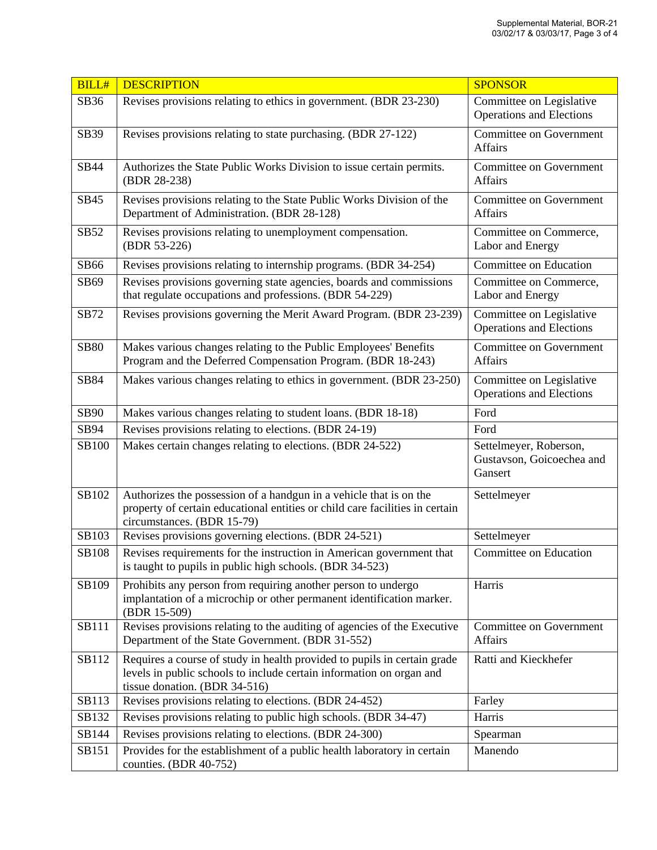| <b>BILL#</b> | <b>DESCRIPTION</b>                                                                                                                                                                | <b>SPONSOR</b>                                                 |
|--------------|-----------------------------------------------------------------------------------------------------------------------------------------------------------------------------------|----------------------------------------------------------------|
| SB36         | Revises provisions relating to ethics in government. (BDR 23-230)                                                                                                                 | Committee on Legislative<br><b>Operations and Elections</b>    |
| SB39         | Revises provisions relating to state purchasing. (BDR 27-122)                                                                                                                     | Committee on Government<br><b>Affairs</b>                      |
| SB44         | Authorizes the State Public Works Division to issue certain permits.<br>(BDR 28-238)                                                                                              | Committee on Government<br><b>Affairs</b>                      |
| SB45         | Revises provisions relating to the State Public Works Division of the<br>Department of Administration. (BDR 28-128)                                                               | Committee on Government<br>Affairs                             |
| SB52         | Revises provisions relating to unemployment compensation.<br>(BDR 53-226)                                                                                                         | Committee on Commerce,<br>Labor and Energy                     |
| SB66         | Revises provisions relating to internship programs. (BDR 34-254)                                                                                                                  | Committee on Education                                         |
| SB69         | Revises provisions governing state agencies, boards and commissions<br>that regulate occupations and professions. (BDR 54-229)                                                    | Committee on Commerce,<br>Labor and Energy                     |
| SB72         | Revises provisions governing the Merit Award Program. (BDR 23-239)                                                                                                                | Committee on Legislative<br><b>Operations and Elections</b>    |
| <b>SB80</b>  | Makes various changes relating to the Public Employees' Benefits<br>Program and the Deferred Compensation Program. (BDR 18-243)                                                   | Committee on Government<br>Affairs                             |
| SB84         | Makes various changes relating to ethics in government. (BDR 23-250)                                                                                                              | Committee on Legislative<br><b>Operations and Elections</b>    |
| <b>SB90</b>  | Makes various changes relating to student loans. (BDR 18-18)                                                                                                                      | Ford                                                           |
| SB94         | Revises provisions relating to elections. (BDR 24-19)                                                                                                                             | Ford                                                           |
| SB100        | Makes certain changes relating to elections. (BDR 24-522)                                                                                                                         | Settelmeyer, Roberson,<br>Gustavson, Goicoechea and<br>Gansert |
| SB102        | Authorizes the possession of a handgun in a vehicle that is on the<br>property of certain educational entities or child care facilities in certain<br>circumstances. (BDR 15-79)  | Settelmeyer                                                    |
| SB103        | Revises provisions governing elections. (BDR 24-521)                                                                                                                              | Settelmeyer                                                    |
| SB108        | Revises requirements for the instruction in American government that<br>is taught to pupils in public high schools. (BDR 34-523)                                                  | Committee on Education                                         |
| SB109        | Prohibits any person from requiring another person to undergo<br>implantation of a microchip or other permanent identification marker.<br>(BDR 15-509)                            | Harris                                                         |
| <b>SB111</b> | Revises provisions relating to the auditing of agencies of the Executive<br>Department of the State Government. (BDR 31-552)                                                      | Committee on Government<br>Affairs                             |
| SB112        | Requires a course of study in health provided to pupils in certain grade<br>levels in public schools to include certain information on organ and<br>tissue donation. (BDR 34-516) | Ratti and Kieckhefer                                           |
| SB113        | Revises provisions relating to elections. (BDR 24-452)                                                                                                                            | Farley                                                         |
| SB132        | Revises provisions relating to public high schools. (BDR 34-47)                                                                                                                   | Harris                                                         |
| SB144        | Revises provisions relating to elections. (BDR 24-300)                                                                                                                            | Spearman                                                       |
| SB151        | Provides for the establishment of a public health laboratory in certain<br>counties. (BDR 40-752)                                                                                 | Manendo                                                        |